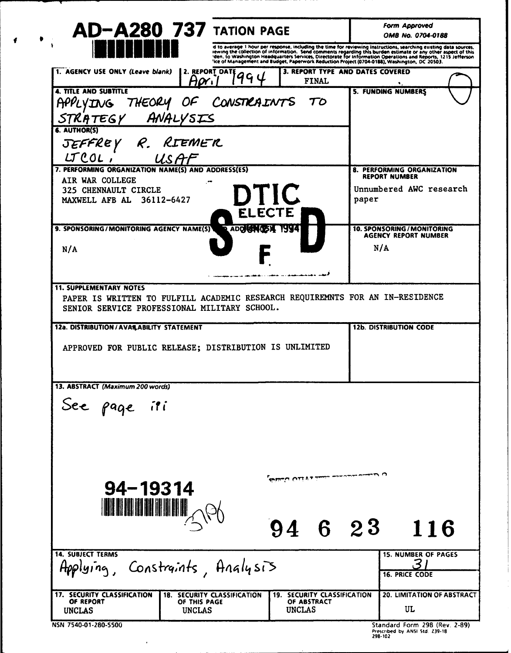| <b>AD-A280 737 TATION PAGE</b>                                                                                                                                  |                                                                                                      | <b>Form Approved</b><br>OMB No. 0704-0188                                                                                                                                                                                      |
|-----------------------------------------------------------------------------------------------------------------------------------------------------------------|------------------------------------------------------------------------------------------------------|--------------------------------------------------------------------------------------------------------------------------------------------------------------------------------------------------------------------------------|
|                                                                                                                                                                 |                                                                                                      | d to average 1 hour per response, including the time for reviewing instructions, searching existing data sources, rewing the collection of information. Search of this detailed in the collection of information of the street |
| 1. AGENCY USE ONLY (Leave blank)<br>Aori                                                                                                                        | 2. REPORT DATE<br>994<br><b>FINAL</b>                                                                | 3. REPORT TYPE AND DATES COVERED                                                                                                                                                                                               |
| <b>4. TITLE AND SUBTITLE</b><br>APPLYING<br>STRATEGY ANALYSIS<br>6. AUTHOR(S)                                                                                   | THEORY OF CONSTRAINTS<br>TO                                                                          | <b>5. FUNDING NUMBERS</b>                                                                                                                                                                                                      |
| JEFFREY R. RIEMER<br>$LCOL$ ;<br>USAF                                                                                                                           |                                                                                                      |                                                                                                                                                                                                                                |
| 7. PERFORMING ORGANIZATION NAME(S) AND ADDRESS(ES)<br>AIR WAR COLLEGE<br>325 CHENNAULT CIRCLE<br>MAXWELL AFB AL 36112-6427                                      | DTIC<br><b>ELECTE</b>                                                                                | 8. PERFORMING ORGANIZATION<br><b>REPORT NUMBER</b><br>Unnumbered AWC research<br>paper                                                                                                                                         |
| 9. SPONSORING/MONITORING AGENCY NAME(S)<br>N/A                                                                                                                  | ADDREW (25) 1994                                                                                     | 10. SPONSORING / MONITORING<br><b>AGENCY REPORT NUMBER</b><br>N/A                                                                                                                                                              |
| <b>11. SUPPLEMENTARY NOTES</b><br>PAPER IS WRITTEN TO FULFILL ACADEMIC RESEARCH REQUIREMNTS FOR AN IN-RESIDENCE<br>SENIOR SERVICE PROFESSIONAL MILITARY SCHOOL. | وتعارفها والمستعدد والمتنا والمتعارض والمتناور                                                       |                                                                                                                                                                                                                                |
| 12a. DISTRIBUTION / AVAILABILITY STATEMENT<br>APPROVED FOR PUBLIC RELEASE; DISTRIBUTION IS UNLIMITED                                                            |                                                                                                      | <b>12b. DISTRIBUTION CODE</b>                                                                                                                                                                                                  |
| 13. ABSTRACT (Maximum 200 words)<br>See page iti                                                                                                                |                                                                                                      |                                                                                                                                                                                                                                |
| $94 - 19314$<br><u> IN NIJI NIHINI</u>                                                                                                                          | فلنت بمجانسه ساسط والإقلاق فالمظاظة<br>94 6 23                                                       | 116                                                                                                                                                                                                                            |
| <b>14. SUBJECT TERMS</b><br>Applying, Constraints, Analysis                                                                                                     |                                                                                                      | <b>15. NUMBER OF PAGES</b><br>3<br><b>16. PRICE CODE</b>                                                                                                                                                                       |
| 17. SECURITY CLASSIFICATION<br>OF REPORT<br>OF THIS PAGE<br><b>UNCLAS</b><br><b>UNCLAS</b>                                                                      | SECURITY CLASSIFICATION<br><b>18. SECURITY CLASSIFICATION</b><br>19.<br>OF ABSTRACT<br><b>UNCLAS</b> | <b>20. LIMITATION OF ABSTRACT</b><br>UL                                                                                                                                                                                        |
| NSN 7540-01-280-5500                                                                                                                                            |                                                                                                      | Standard Form 298 (Rev. 2-89)<br>Prescribed by ANSI Std. 239-18<br>298-102                                                                                                                                                     |

 $\hat{\mathcal{A}}$ 

 $\bullet$ 

 $\sqrt{ }$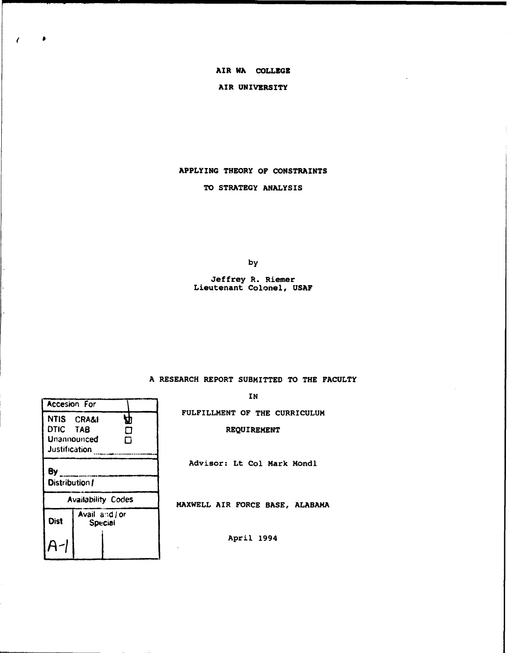# **AIR WA COLLEGE**

## **AIR UNIVERSITY**

## **APPLYING THEORY OF CONSTRAINTS**

## **TO STRATEGY ANALYSIS**

by

### **Jeffrey R. Riemer Lieutenant Colonel, USAF**

## **A RESEARCH REPORT SUBMITTED TO THE FACULTY**

**IN** 

**FULFILLMENT OF THE CURRICULUM** 

# **REQUIREMENT**

**Advisor: Lt Col Mark Mondl** 

**MAXWELL AIR FORCE BASE, ALABAMA** 

**April 1994** 

| NTIS CRA&I<br>DTIC TAB<br>Justification | Unannounced               | Д<br>◘<br>п |
|-----------------------------------------|---------------------------|-------------|
| By<br>Distribution f                    |                           |             |
|                                         | <b>Availability Codes</b> |             |
| <b>Dist</b>                             | Avail and / or<br>Special |             |
|                                         |                           |             |

Accesion For<br>NTIS CRA&I

 $\epsilon$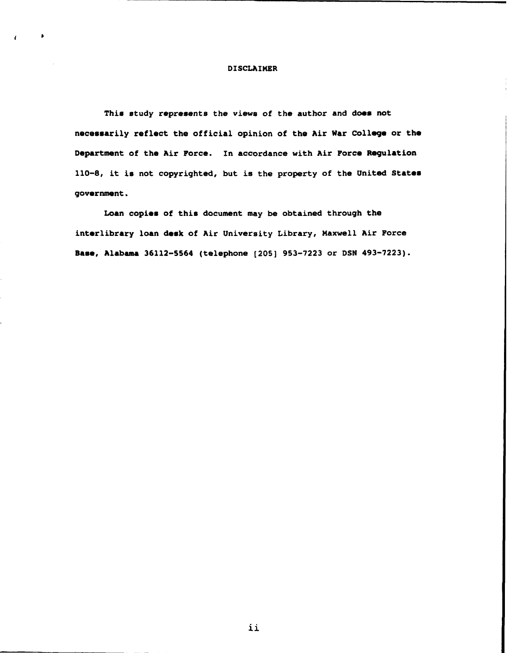#### **DISCLAIMER**

This study represents the views of the author and does not **neceeearily reflect the official opinion of the Air War College or tho Department of the Air Force. In accordance with Air Force Regulation 110-8, it is not copyrighted, but is the property of the United States government.** 

**Loan copies of this document may be obtained through the interlibrary loan desk of Air University Library, Maxwell Air Force Baae, Alabama 36112-5564 (telephone (205) 953-7223 or DSN 493-7223).**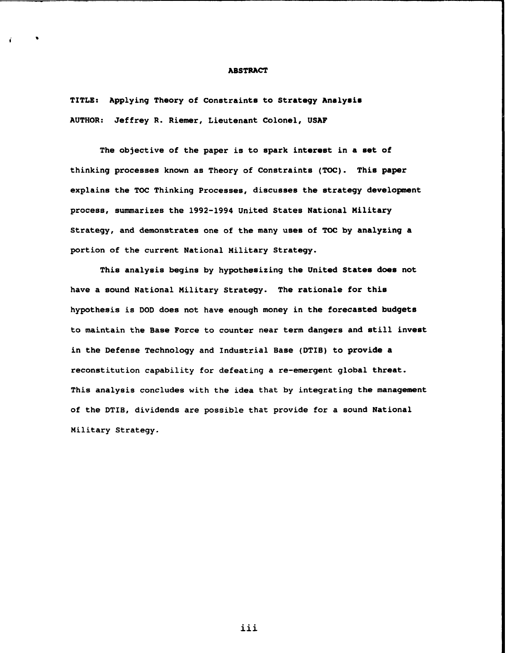#### **ABSTRACT**

**TITLE: Applying Theory of Constraints to Strategy Analyeie AUTHOR: Jeffrey R. Riemer, Lieutenant Colonel, USAF** 

**The objective of the paper is to spark interest in a set of thinking processes known as Theory of Constraints (TOC). This paper explains the TOC Thinking Processes, discusses the strategy development process, summarizes the 1992-1994 United States National Military Strategy, and demonstrates one of the many uses of TOC by analyzing a portion of the current National Military Strategy.** 

**This analysis begins by hypothesizing the United States does not have a sound National Military Strategy. The rationale for this hypothesis is DOD does not have enough money in the forecasted budgets to maintain the Base Force to counter near term dangers and still invest in the Defense Technology and Industrial Base (DTIB) to provide a reconstitution capability for defeating a re-emergent global threat. This analysis concludes with the idea that by integrating the management of the DTIB, dividends are possible that provide for a sound National Military Strategy.** 

**iii**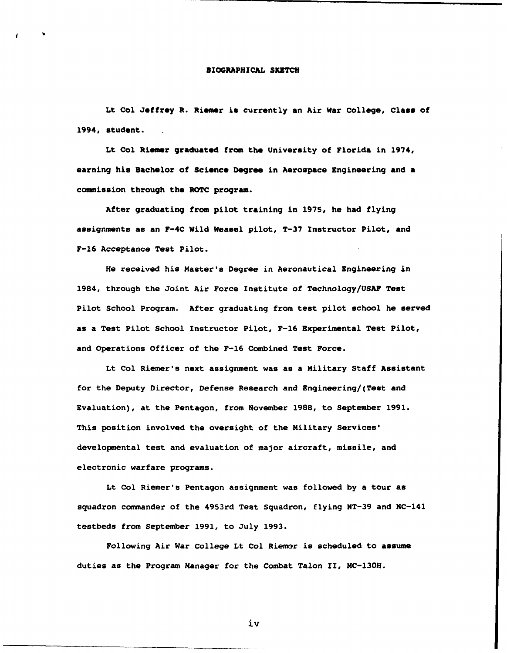## **BIOGRAPHICAL SKETCH**

Lt Col Jeffrey R. Riemer is currently an Air War College, Class of **1994, student.** 

Lt Col Riemer graduated from the University of Florida in 1974, earning his Bachelor of Science Degree in Aerospace Engineering and a **commission through the ROTC program.** 

**After graduating from pilot training in 1975, he had flying assignments as an F-4C Wild Weasel pilot, T-37 Instructor Pilot, and F-16 Acceptance Test Pilot.** 

**He received his Master's Degree in Aeronautical Engineering in 1984, through the Joint Air Force Institute of Technology/USAP Test Pilot School Program. After graduating from test pilot school he served as a Test Pilot School Instructor Pilot, F-16 Experimental Test Pilot, and Operations Officer of the F-16 Combined Test Force.** 

**Lt Col Riemer's next assignment was as a Military Staff Assistant for the Deputy Director, Defense Research and Engineering/(Teet and Evaluation), at the Pentagon, from November 1988, to September 1991. This position involved the oversight of the Military Services' developmental test and evaluation of major aircraft, missile, and electronic warfare programs.** 

**Lt Col Riemer's Pentagon assignment was followed by a tour as squadron commander of the 4953rd Test Squadron, flying NT-39 and NC-141 testbeds from September 1991, to July 1993.** 

Following Air War College Lt Col Riemer is scheduled to assume **duties as the Program Manager for the Combat Talon 11, MC-13OH.** 

iv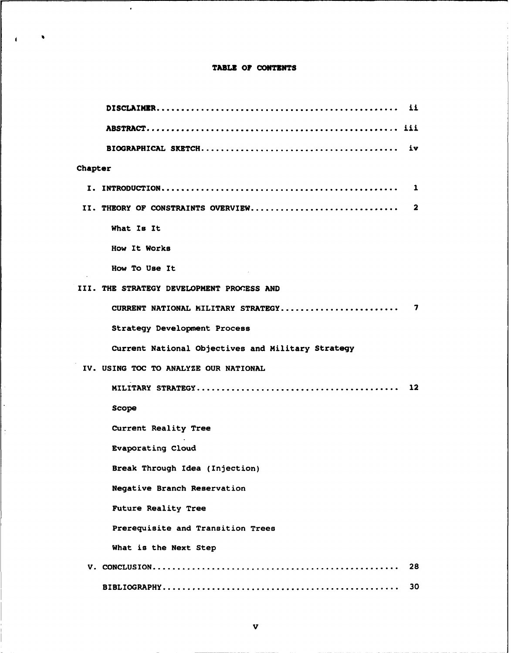# TABLE OF CONTENTS

 $\overline{1}$ 

 $\bar{z}$ 

 $\ddot{\phantom{a}}$ 

 $\ddot{\cdot}$ 

| Chapter                                           |     |
|---------------------------------------------------|-----|
|                                                   |     |
| II. THEORY OF CONSTRAINTS OVERVIEW                | - 2 |
| What Is It                                        |     |
| How It Works                                      |     |
| How To Use It                                     |     |
| III. THE STRATEGY DEVELOPMENT PROCESS AND         |     |
|                                                   |     |
| Strategy Development Process                      |     |
| Current National Objectives and Military Strategy |     |
| IV. USING TOC TO ANALYZE OUR NATIONAL             |     |
|                                                   | 12  |
| Scope                                             |     |
| Current Reality Tree                              |     |
| <b>Evaporating Cloud</b>                          |     |
| Break Through Idea (Injection)                    |     |
| <b>Negative Branch Reservation</b>                |     |
| <b>Future Reality Tree</b>                        |     |
| Prerequisite and Transition Trees                 |     |
| What is the Next Step                             |     |
|                                                   | 28  |
|                                                   | 30  |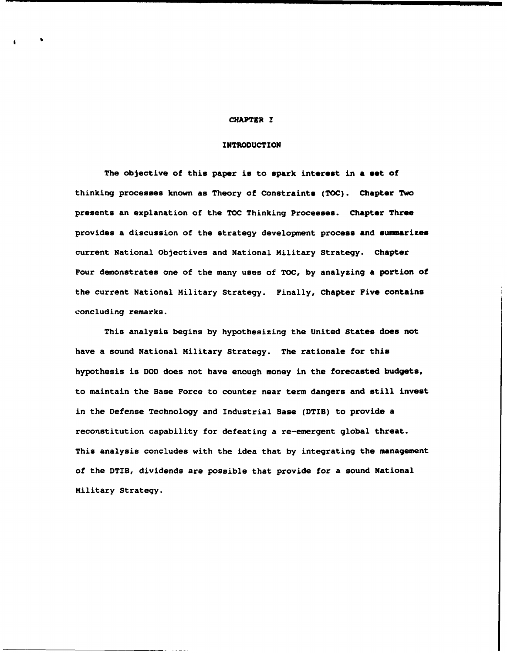#### **CHAPTER I**

# **INTRODUCTION**

**The objective of this paper is to spark interest in a set of thinking processes known as Theory of Constraints (TOC). Chapter Two presents an explanation of the TOC Thinking Processes. Chapter Three**  provides a discussion of the strategy development process and summarizes **current National Objectives and National Military Strategy. Chapter Four demonstrates one of the many uses of TOC, by analyzing a portion of the current National Military Strategy. Finally, Chapter Five contains concluding remarks.** 

**This analysis begins by hypothesizing the United States does not have a sound National Military Strategy. The rationale for this hypothesis is DOD does not have enough money in the forecasted budgets, to maintain the Base Force to counter near term dangers and still invest in the Defense Technology and Industrial Base (DTIB) to provide a reconstitution capability for defeating a re-emergent global threat. This analysis concludes with the idea that by integrating the management of the DTIB, dividends are possible that provide for a sound National Military Strategy.**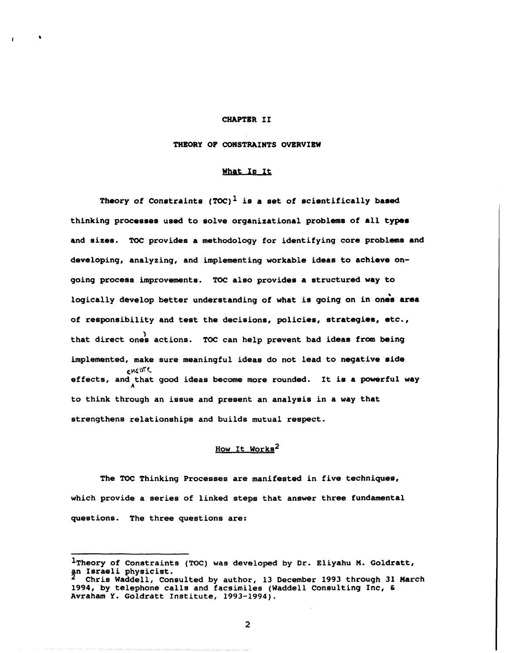#### **CHAPTER I1**

## **THEORY OF CONSTRAINTS OVERVIEW**

#### **What Io It**

**Theory of Constraints (TOC) is a set of scientifically baaed thinking processes used to solve organizational problems of all types and sizes. TOC provides a methodology for identifying core problems and developing, analyzing, and implementing workable ideas to achieve ongoing process improvements. TOC also provides a structured way to**  logically develop better understanding of what is going on in ones area **of responsibility and test the decisions, policies, strategies, etc., <sup>1</sup>that direct ones actions. TOC can help prevent bad ideas from being implemented, make sure meaningful ideas do not lead to negative side e~< brt effects, and that good ideas become more rounded. It is a powerful way A to think through an issue and present an analysis in a way that strengthens relationships and builds mutual respect.** 

# **How It works2**

**The TOC Thinking Processes are manifested in five techniques, which provide a series of linked steps that answer three fundamental questions. The three questions are:** 

<sup>&</sup>lt;sup>1</sup>Theory of Constraints (TOC) was developed by Dr. Eliyahu M. Goldratt, an Israeli physicist.

**Chris Waddell, Consulted by author, 13 December 1993 through 31 March 1994, by telephone calls and facsimiles (Waddell Consulting Inc, C Avraham Y. Goldratt Institute, 1993-1994).**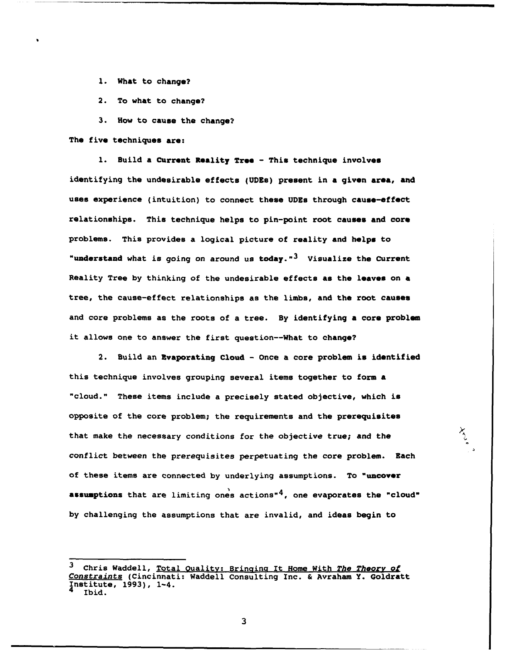- **1. What to change?**
- **2. To what to change?**
- **3. How to cause the change?**

**The five techniques are:** 

1. Build a Current Reality Tree - This technique involves **identifying the undesirable effects (UDEs) present in a given area, and uses experience (intuition) to connect these UDEs through cause-effect relationships. This technique helps to pin-point root causes and core**  problems. This provides a logical picture of reality and helps to **"understand what is going on around us today."3 Visualize the Current Reality Tree by thinking of the undesirable effects as the leaves on a tree, the cause-effect relationships as the limbs, and the root causes and core problems as the roots of a tree. By identifying a core problem it allows one to answer the first question--What to change?** 

**2. Build an Evaporating Cloud** - **Once a core problem is identified this technique involves grouping several items together to form a "cloud." These items include a precisely stated objective, which is opposite of the core problem; the requirements and the prerequisites that make the necessary conditions for the objective true; and the conflict between the prerequisites perpetuating the core problem. Each of these items are connected by underlying assumptions. To "uncovar**  assumptions that are limiting ones actions<sup>4</sup>, one evaporates the "cloud" **by challenging the assumptions that are invalid, and ideas begin to** 

<sup>&</sup>lt;sup>3</sup> Chris Waddell, Total Quality: Bringing It Home With The Theory of **Constraints (Cincinnati: Waddell Consulting Inc. L Avraham Y. Goldratt Institute, l993), 1-4. Ibid.**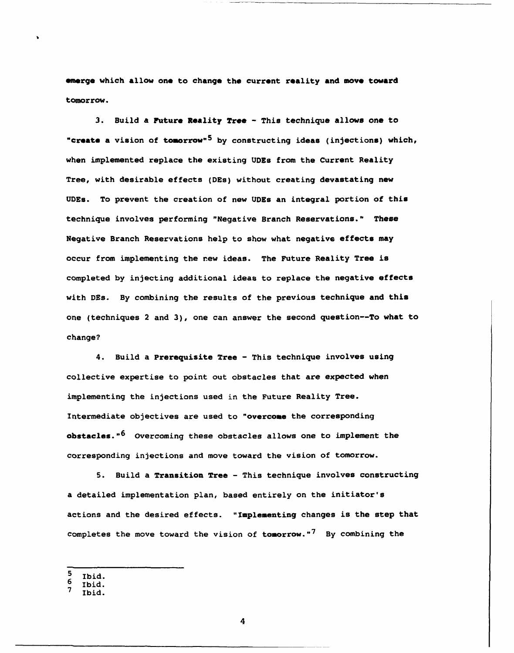**.mrrge which allow one to change the current reality and move toward tomorrow.** 

**3. Build a ?uture Reality Tree** - **This technique allows one to**  "create a vision of tomorrow"<sup>5</sup> by constructing ideas (injections) which, **when implemented replace the existing UDEs from the Current Reality Tree, with desirable effects (DEs) without creating devastating new UDEs. To prevent the creation of new UDEs an integral portion of this technique involves performing "Negative Branch Reservations." These Negative Branch Reservations help to show what negative effects may occur from implementing the new ideas. The Future Reality Tree is completed by injecting additional ideas to replace the negative effects with DEs. By combining the results of the previous technique and this one (techniques 2 and 3), one can answer the second question--To what to change?** 

**4. Build a Prerequisite Tree** - **This technique involves using collective expertise to point out obstacles that are expected when implementing the injections used in the Future Reality Tree. Intermediate objectives are used to "overcome the corresponding obstacles. n6 Overcoming these obstacles allows one to implement the corresponding injections and move toward the vision of tomorrow.** 

**5. Build a Transition Tree** - **This technique involves constructing a detailed implementation plan, based entirely on the initiator's actions and the desired effects. "Implementing changes is the step that completes the move toward the vision of tomorrow. "7 By combining the** 

- **Ibid.**
- 6 **Ibid.**   $\overline{ }$

 $\overline{\mathbf{4}}$ 

**Ibid.**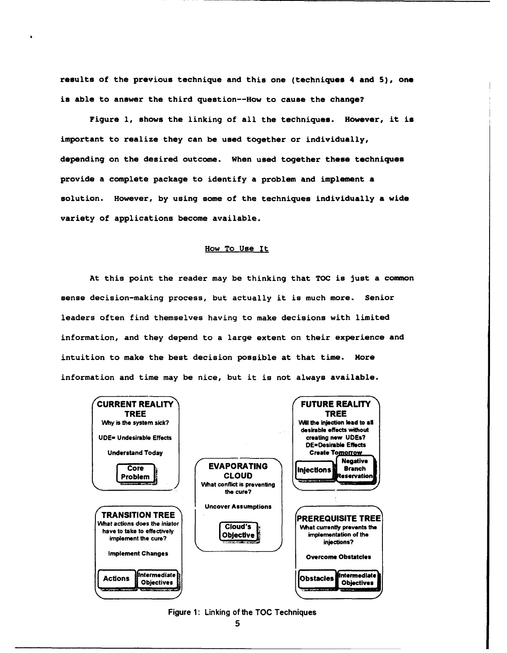**results of the previous technique and this one (technique8 4 and S), one is able to answer the third question--How to cause the change?** 

**Figure 1, shows the linking of all the techniques. However, it is important to realize they can be used together or individually, depending on the desired outcome. When used together these techniques provide a complete package to identify a problem and implement a solution. However, by using some of the techniques individually a wide variety of applications become available.** 

## **How To Use It**

**At this point the reader may be thinking that TOC is just a common sense decision-making process, but actually it is much more. Senior leaders often find themselves having to make decisions with limited information, and they depend to a large extent on their experience and intuition to make the best decision possible at that time. More information and time may be nice, but it is not always available.**  hey depend t<br>the best dec<br>me may be ni<br>ALITY



**Figure 1** : **Linking of the TOC Techniques**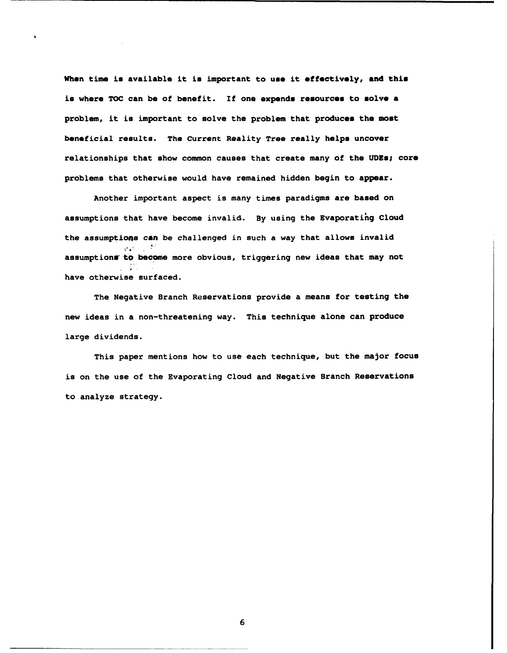**When time is available it ia important to uae it effectively, and this**  is where TOC can be of benefit. If one expends resources to solve a **problem, it is important to solve the problem that produces the most beneficial reaults. The Current Reality Tree really helpa uncover relationships that show common causes that create many of the UDEa; core problems that otherwise would have remained hidden begin to appear.** 

**Another important aspect is many times paradigms are based on**  assumptions that have become invalid. By using the Evaporating Cloud **the assumptions can be challenged in such a way that allows invalid**   $\mathcal{O}(2\pi)$ assumptions' to become more obvious, triggering new ideas that may not **have otherwise surfaced.** 

**The Negative Branch Reservations provide a means for testing the new ideas in a non-threatening way. This technique alone can produce large dividends.** 

**This paper mentions how to use each technique, but the major focus is on the use of the Evaporating Cloud and Negative Branch Reservations to analyze strategy.**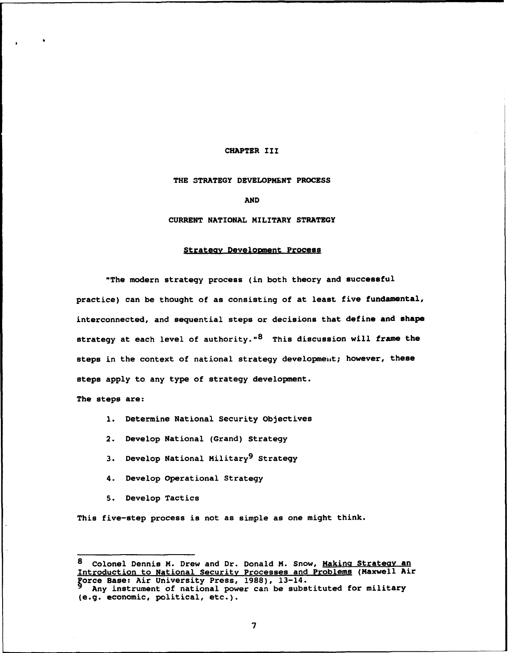### **CHAPTER 111**

#### **THE STRATEGY DEVELOPMENT PROCESS**

**AND** 

#### **CURRENT NATIONAL MILITARY STRATEGY**

#### **Strateav Develoment Process**

**"The modern strategy process (in both theory and successful practice) can be thought of as consisting of at least five fundamental, interconnected, and sequential steps or decisions that define and shape strategy at each level of authority."8 This discussion will frame the**  steps in the context of national strategy development; however, these **steps apply to any type of strategy development.** 

**The steps are:** 

- **1. Determine National Security Objectives**
- **2. Develop National (Grand) Strategy**
- **3.** Develop National Military<sup>9</sup> Strategy
- **4. Develop Operational Strategy**
- **5. Develop Tactics**

**This five-step process is not as simple as one might think.** 

<sup>8</sup> **Colonel Dennis M. Drew and Dr. Donald M. Snow, Makina Strateav an Introduction to National Securitv Processes and Problems (Maxwell Air \$rce Base: Air University Press, 1988), 13-14.** 

**Any instrument of national power can be substituted for military (e.g. economic, political, etc.).**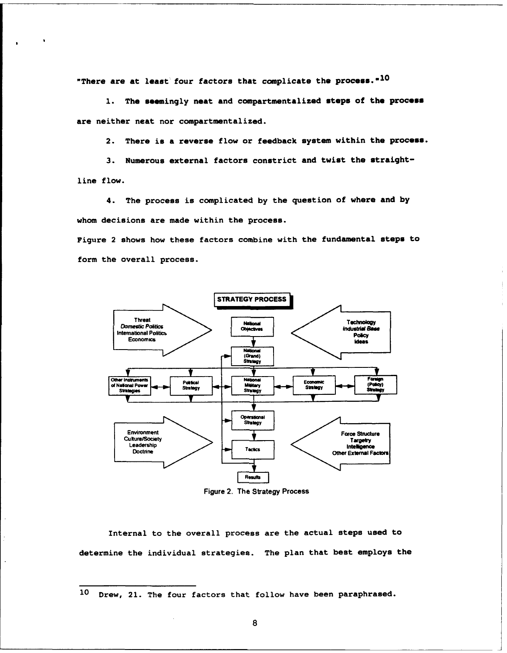**"There are at least' four factors that complicate the process. "I0** 

1. The seemingly neat and compartmentalized steps of the process **are neither neat nor compartmentalized.** 

**2. There is a reverse flow or feedback system within the process.** 

**3. Numerous external factors constrict and twist the straightline flow.** 

**4. The process is complicated by the question of where and by whom decisions are made within the process.** 

**Figure 2 shows how these factors combine with the fundamental steps to form the overall process.** 



**Figure 2. The Strategy Process** 

**Internal to the overall process are the actual steps used to determine the individual strategies. The plan that best employs the** 

**lo Drew, 21. The four factors that follow have been paraphrased.**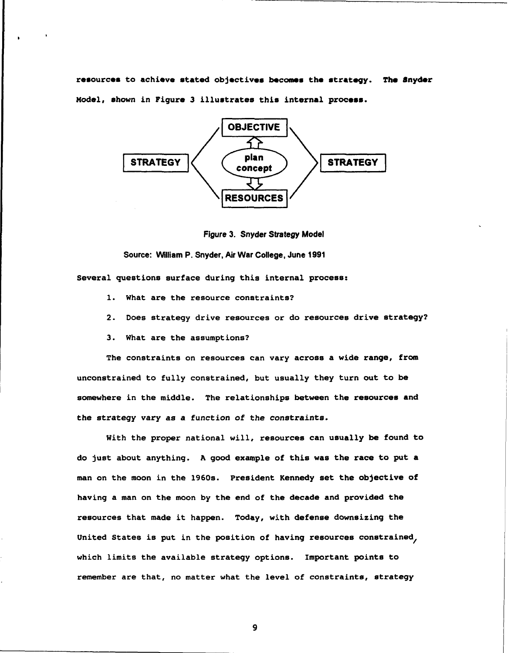resources to achieve stated objectives becomes the strategy. The Snyder **Model, shown in Figure 3 illustrates this internal process.** 



**Figure 3. Snyder Strategy Model** 

**Source: William P. Snyder, Air War College, June 1991 Several questions surface during this internal process:** 

- **1. What are the resource constraints?**
- **2. Does strategy drive resources or do resources drive strategy?**
- **3. What are the assumptions?**

**The constraints on resources can vary across a wide range, from unconstrained to fully constrained, but usually they turn out to be somewhere in the middle. The relationships between the resources and the strategy vary as a function of the constraints.** 

**With the proper national will, resources can usually be found to do just about anything. A good example of this was the race to put a man on the moon in the 1960s. President Kennedy set the objective of having a man on the moon by the end of the decade and provided the resources that made it happen. Today, with defense downsizing the United States is put in the position of having resources constrained, which limits the available strategy options. Important points to remember are that, no matter what the level of constraints, strategy**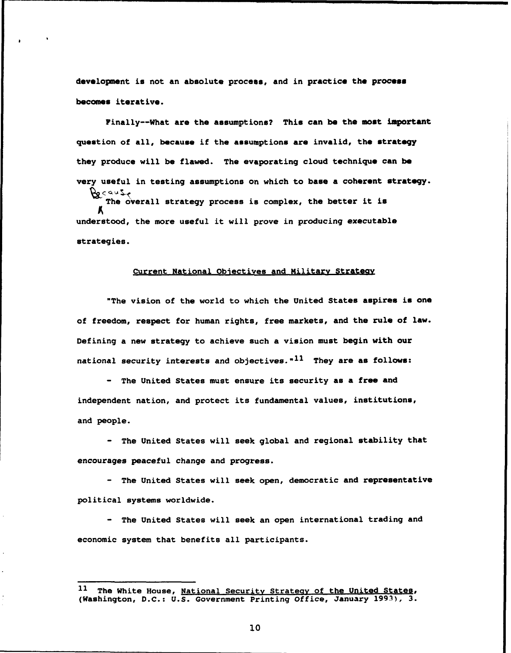development is not an absolute process, and in practice the process **becomes iterative.** 

**Finally--What are the assumptions? This can be the most important question of all, because if the aasumptions are invalid, the strategy they produce will be flawed. The evaporating cloud technique can be**  very useful in testing assumptions on which to base a coherent strategy. **f&p~5~** 

**The overall strategy process is complex, the better it is m understood, the more useful it will prove in producing executable strategies.** 

### **Current National Obiectives and Militarv Sttateav**

**"The vision of the world to which the United States aspires ia one of freedom, respect for human rights, free markets, and the rule of lawe Defining a new strategy to achieve such a vision must begin with our national security interests and objectives. "11 They are as follows:** 

- **The United States must ensure its security as a free and independent nation, and protect its fundamental values, institutions, and people.** 

- **The United States will seek global and regional stability that encourages peaceful change and progress.** 

- **The United States will seek open, democratic and representative political systems worldwide.** 

- **The United States will seek an open international trading and economic system that benefits all participants.** 

**l1 The White House, National Security Strateay of the United States, (Washington, D.C.: U.S. Government Printing Office, January 1993), 3.**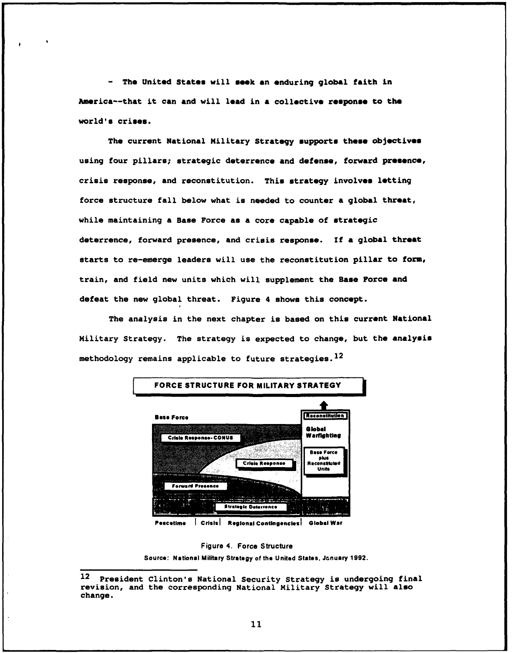- The United States will seek an enduring global faith in **mrica--that it can and will lead in** *8* **collective response to the world's crises.** 

**The current National Military Strategy supports these objectives using four pillars; strategic deterrence and defense, forward presence, crisis response, and reconstitution. This strategy involvem letting force structure fall below what is needed to counter a global threat, while maintaining a Base Force as a core capable of strategic deterrence, forward presence, and crisis response. If a global threat starts to re-emerge leaders will use the reconstitution pillar to form, train, and field new units which will supplement the Base Force and defeat the new global threat. Figure 4 shows this concept.** 

**The analysis in the next chapter is based on this current National Military Strategy. The strategy is expected to change, but the analysis methodology remains applicable to future strategies.12** 



**Peacetime | Crisis | Regional Contingencies | Giobal War** 



**Source: National Military Strategy of the United States, January 1992.** 

**Peacetime | Crisis | Regional Contingencies | Global War**<br>
Figure 4. Force Structure<br>
Source: National Military Strategy of the United States, January 1992.<br> **President Clinton's National Security Strategy is undergoing f revision, and the corresponding National Military Strategy will also change.**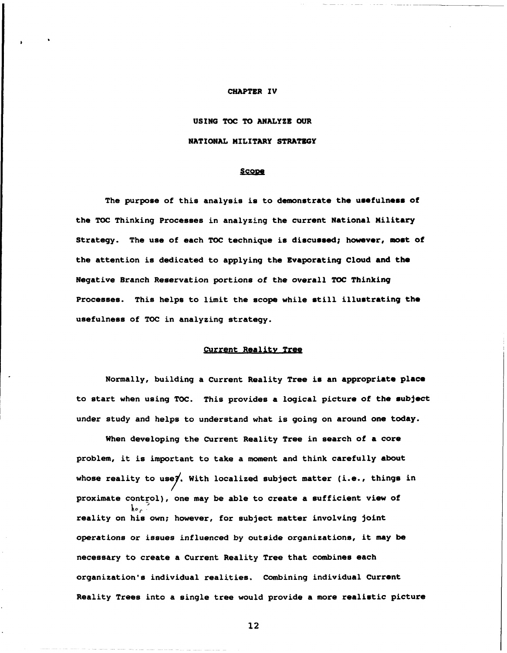#### **CHAPTER IV**

**USING TOC TO ANALYZE OUR NATIONAL MILITARY STRATEGY** 

#### Scope

The purpose of this analysis is to demonstrate the usefulness of **the TOC Thinking Processes in analyzing the current National Military**  Strategy. The use of each TOC technique is discussed; however, most of **the attention is dedicated to applying the Evaporating Cloud and the Negative Branch Reservation portions of the overall TOC Thinking Processes. This helps to limit the scope while still illustrating the usefulness of TOC in analyzing strategy.** 

## **Current Realitv Treg**

**Normally, building a Current Reality Tree is an appropriate place to start when using TOC. This provides a logical picture of the subject under study and helps to understand what is going on around one today.** 

**When developing the Current Reality Tree in search of a core problem, it is important to take a moment and think carefully about**  whose reality to use7. With localized subject matter (i.e., things in proximate control), one may be able to create a sufficient view of **reality on his own; however, for subject matter involving joint operations or issues influenced by outside organizations, it may be necessary to create a Current Reality Tree that combines each organization's individual realities. Combining individual Current Reality Trees into a single tree would provide a more realistic picture**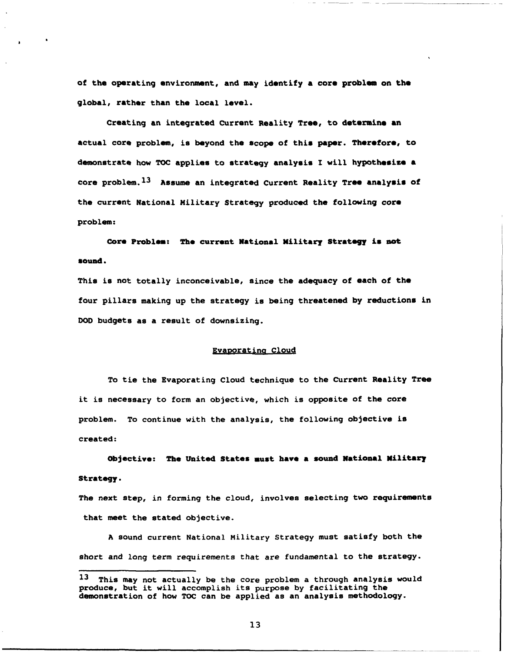**of the operating environment, and may identify a core problem on the global, rather than the local level.** 

**Creating an integrated Current Reality Tree, to determine an actual core problem, is beyond the scope of this paper. Therefore, to**  demonstrate how TOC applies to strategy analysis I will hypothesize a core problem.<sup>13</sup> Assume an integrated Current Reality Tree analysis of **the current National Military Strategy produced the following core problem:** 

**Core Problem: The current National Military Strategy is not round.** 

**This is not totally inconceivable, since the adequacy of each of the four pillars making up the strategy is being threatened by reductions in DO0 budgets as a result of downsizing.** 

#### Evaporating Cloud

**To tie the Evaporating Cloud technique to the Current Reality Tree it is necessary to form an objective, which is opposite of the core problem. To continue with the analysis, the following objective is created** :

**Objective: The United States must have a sound National Wilitar) Strategy.** 

**The next step, in forming the cloud, involves selecting two requirements that meet the stated objective.** 

**A sound current National Military Strategy must satisfy both the short and long term requirements that are fundamental to the strategy.** 

**l3 This may not actually be the core problem a through analysis would produce, but it will accomplish its purpose by facilitating the demonstration of how TOC can be applied as an analysis methodology.**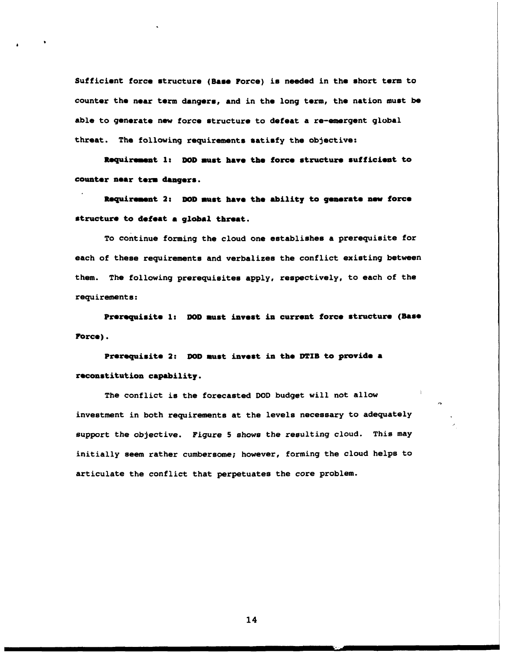**Sufficient force structure (Base Force) is needed in the short term to counter the near term dangers, and in the long term, the nation must be**  able to generate new force structure to defeat a re-emergent global **threat. The following requirements satisfy the objective:** 

**Requirement 1: DOD must have the force structure sufficient to counter near term dangers.** 

**Roquirennt 2:** DOD **lust have the ability to gumrate now force structure to defeat a global threat.** 

**To continue forming the cloud one establishes a prerequisite for each of these requirements and verbalizes the conflict existing between them. The following prerequisites apply, respectively, to each of the requirements:** 

Prerequisite 1: DOD must invest in current force structure (Base **Force).** 

Prerequisite 2: DOD must invest in the DTIB to provide a **toconstitution capbility.** 

**The conflict is the forecasted DOD budget will not allow investment in both requirements at the levels necessary to adequately support the objective. Figure 5 shows the resulting cloud. This may initially seem rather cumbersome; however, forming the cloud helps to articulate the conflict that perpetuates the core problem.**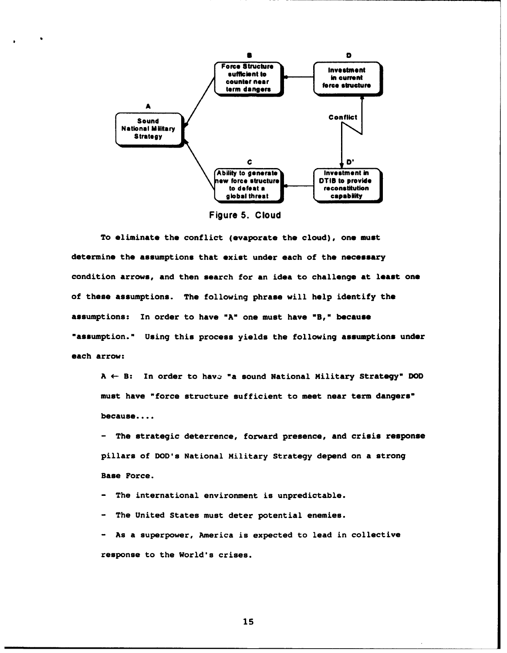

**Figure 5. Cloud** 

To eliminate the conflict (evaporate the cloud), one must determine the assumptions that exist under each of the necessary condition arrows, and then search for an idea to challenge at least one **of these assumptions. The following phrase will help identify the assumptions: In order to have "A" one must have "B," becauee**  "assumption." Using this process yields the following assumptions under **each arrow:** 

**A 4- B: In order to hava "a sound National Military Strategy" DOD**  must have "force structure sufficient to meet near term dangers" **because....** 

- **The strategic deterrence, forward presence, and crisis response pillars of DOD's National Military Strategy depend on a strong Base Force.** 

- **The international environment is unpredictable.** 

- **The United States must deter potential enemies.** 

- **As a superpower, America is expected to lead in collective responae to the World's crises.**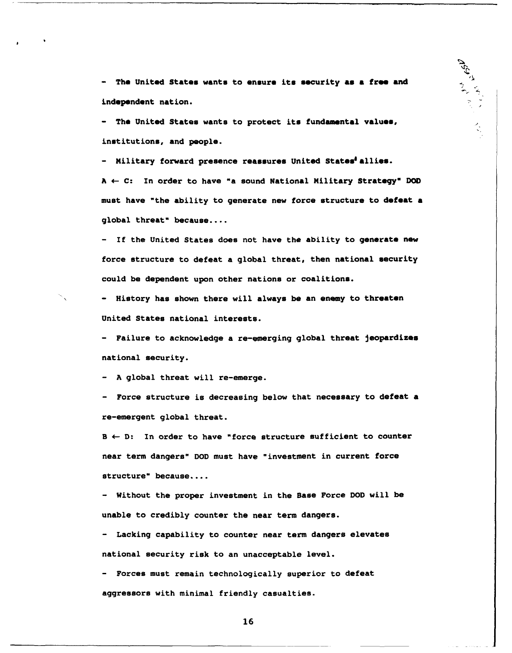The United States wants to ensure its security as a free and **independent nation.** 

ASA L

 $\mathbb{R}^2$ 

The United States wants to protect its fundamental values, **inst itut ions, and people.** 

- **Military forward presence reasmures United states' allies.** 

 $A \leftarrow C$ : In order to have "a sound National Military Strategy" DOD **must have "the ability to generate new force structure to defeat a global threata because....** 

- **If the United States does not have the ability to generate new force structure to defeat a global threat, then national eecurity could be dependent upon other nations or coalitions.** 

- **History has shown there will always be an enemy to threaten United States national interests.** 

- **Failure to acknowledge a re-emerging global threat jeopardizes national security.** 

- **A global threat will re-emerge.** 

- **Force structure is decreasing below that necessary to defeat a re-emergent global threat.** 

**<sup>B</sup>e D: In order to have "force structure sufficient to counter near term dangers" DOD must have "investment in current force structure" because....** 

- **Without the proper investment in the Base Force DOD will be unable to credibly counter the near term dangers.** 

- **Lacking capability to counter near term dangers elevates national security risk to an unacceptable level.** 

- **Forces must remain technologically superior to defeat aggressors with minimal friendly casualties.**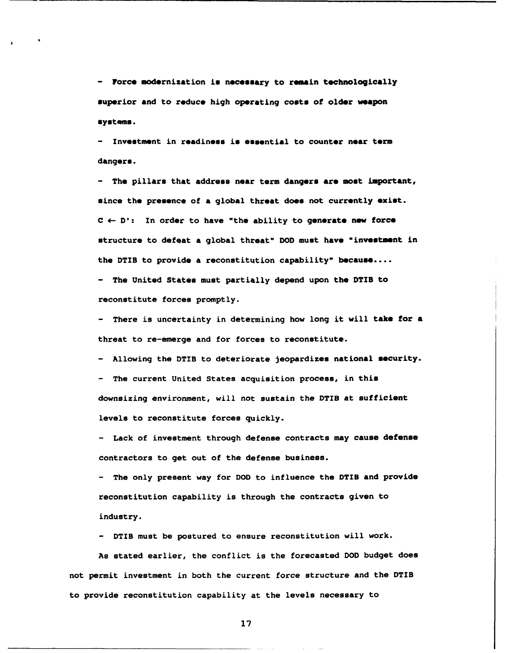- **Force modernization is necessary to remain technologically** superior and to reduce high operating costs of older weapon **systems.** 

- **Invostmont in readiness is essential to countor near term dangers.** 

- **The pillars that address near term danger8 are most important,**  since the presence of a global threat does not currently exist.  $C \leftarrow D$ : In order to have "the ability to generate new force structure to defeat a global threat" DOD must have "investment in **the DTIB to provide a reconstitution capability" because....** 

- **The United States must partially depend upon the DTIB to reconstitute forces promptly.** 

- **There is uncertainty in determining how long it will take for a threat to re-emerge and for forces to reconstitute.** 

- **Allowing the DTIB to deteriorate jeopardizes national 8ecurity.**  - **The current United States acquisition process, in this downsizing environment, will not sustain the DTIB at sufficient levels to reconstitute forces quickly.** 

- **Lack of investment through defense contracts may cause defense contractors to get out of the defense business.** 

- **The only present way for DOD to influence the DTIB and provide reconstitution capability is through the contracts given to industry.** 

- **DTIB must be postured to ensure reconstitution will work.** 

**As stated earlier, the conflict is the forecasted DOD budget does not permit investment in both the current force structure and the DTIB to provide reconstitution capability at the levels necessary to**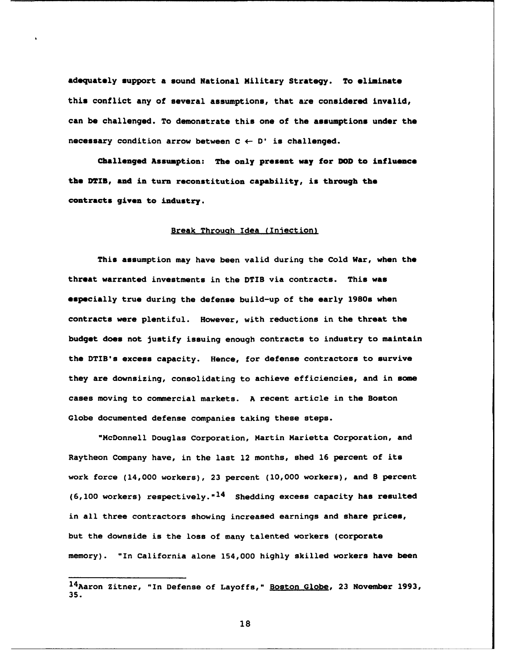**adequately support a sound National Military Strategy. To eliminate this conflict any of several assumptions, that are considered invalid, can be challenged. To demonstrate this one of the assumptions under the**  necessary condition arrow between  $C \leftarrow D'$  is challenged.

**Challenged Assumption: The only present way for DOD to influence the DTIB, and in turn reconstitution capability, is through the**  contracts given to industry.

## **Break Throuah Idea (Iniectionl**

**This aasumption may have been valid during the Cold War, when the threat warranted investments in the DTIB via contracta. This was especially true during the defense build-up of the early 1980s when contracts were plentiful. However, with reductions in the threat the budget does not justify issuing enough contracts to industry to maintain the DTIB's excess capacity. Hence, for defense contractors to survive they are downsizing, consolidating to achieve efficiencies, and in same cases moving to commercial markets. A recent article in the Boston Globe documented defense companies taking these steps.** 

**"McDonnell Douglas Corporation, Martin Marietta Corporation, and Raytheon Company have, in the last 12 months, shed 16 percent of its work force (14,000 workers), 23 percent (10,000 workers), and 8 percent (6,100 workers) respectively. "14 Shedding excess capacity has resulted in all three contractors showing increased earnings and share prices, but the downside is the loss of many talented workers (corporate memory). "In California alone 154,000 highly skilled workers have been** 

-

<sup>14&</sup>lt;sub>Aaron</sub> Zitner, "In Defense of Layoffs," Boston Globe, 23 November 1993, **35.**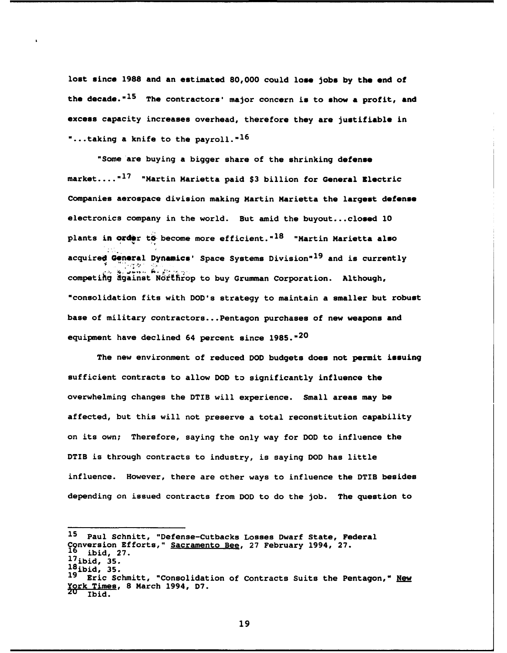lost since 1988 and an estimated 80,000 could lose jobs by the end of the decade.<sup>"15</sup> The contractors' major concern is to show a profit, and **excess capacity increases overhead, therefore they are justifiable in**  ". . **.taking a knife to the payroll. "I6** 

**"Some'are buying a bigger share of the shrinking defense market.... "I7 "Martin Marietta paid \$3 billion for General Electric Companies aerospace division making Martin Marietta the largest defense electronics company in the world. But amid the buyout** ... **closed 10**  plants in order to become more efficient.<sup>18</sup> "Martin Marietta also **acquir+'&nmral Dynunicm' Space Systems ~ivision"~~ and is currently** .'.' . . - **2, p J\* \$3.. ii.** F(.- **<sup>I</sup>**. **competihg dgainst ~orefirop to buy Grumman Corporation. Although, "consolidation fits with DOD's strategy to maintain a smaller but robust base of military contractors** ... **Pentagon purchases of new weapons and equipment have declined 64 percent since 1985. w20** 

**The new environment of reduced DOD budgets does not permit issuing sufficient contracts to allow DOD to significantly influence the overwhelming changes the DTIB will experience. Small areas may be affected, but this will not preserve a total reconstitution capability on its own; Therefore, saying the only way for DOD to influence the DTIB is through contracts to industry, is saying DOD has little influence. However, there are other ways to influence the DTIB besides depending on issued contracts from DOD to do the job. The question to** 

**l5 Paul Schnitt, "Defense-Cutbacks Losses Dwarf State, Federal C nversion Efforts," Sacramento Bee, 27 February 1994, 27. lg ibid, 27. 17ibid, 35. I8ibid, 35. Eric Schmitt, "Consolidation of Contracts Suits the Pentagon," New <u>zork Times</u>, 8 March 1994, D7. Ibid.**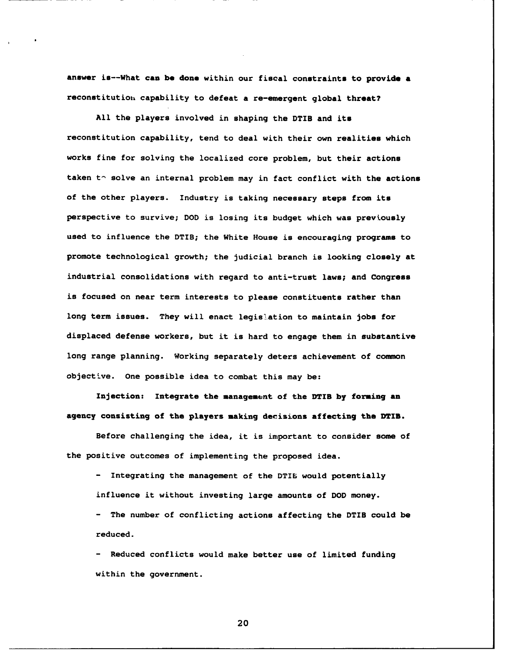**anawer ia--What can be done within our fiscal constraint8 to provide** *8*  reconstitution capability to defeat a re-emergent global threat?

**All the players involved in shaping the DTIB and its reconstitution capability, tend to deal with their own realities which works fine for solving the localized core problem, but their actions**  taken to solve an internal problem may in fact conflict with the actions **of the other players. Industry is taking necessary steps from ita perspective to survive; DOD is losing its budget which was previously used to influence the DTIB; the White House is encouraging programs to promote technological growth; the judicial branch is looking closely at industrial consolidations with regard to anti-trust laws; and Congrese is focused on near term interests to please constituents rather than long term issues. They will enact legislation to maintain jobs for displaced defense workers, but it is hard to engage them in substantive long range planning. Working separately deters achievement of common**  objective. One possible idea to combat this may be:

Injection: Integrate the management of the DTIB by forming an **agency consisting of the players making decisions affecting the DTIB.** 

**Before challenging the idea, it is important to consider some of the positive outcomes of implementing the proposed idea.** 

- **Integrating the management of the DTIB would potentially influence it without investing large amounts of DOD money.** 

- **The number of conflicting actions affecting the DTIB could be reduced.** 

- **Reduced conflicts would make better use of limited funding within the government.**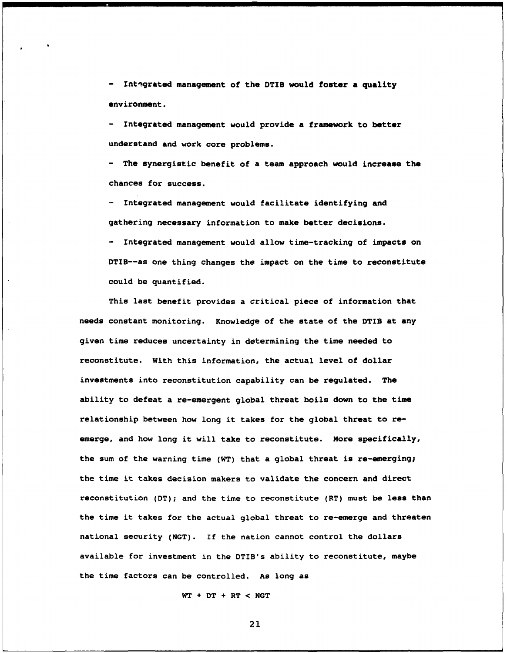- **Intagrated management of the DTIB would foster a quality environment.** 

- Integrated management would provide a framework to better **understand and work core problems.** 

- The synergistic benefit of a team approach would increase the **chances for success.** 

- **Integrated management would facilitate identifying and gathering necessary information to make better decisions.** 

- **Integrated management would allow time-tracking of impacts on DTIB--as one thing changes the impact on the time to reconstitute could be quantified.** 

**This last benefit provides a critical piece of information that needs constant monitoring. Knowledge of the state of the DTIB at any given time reduces uncertainty in determining the time needed to reconstitute. With this information, the actual level of dollar investments into reconstitution capability can be regulated. The ability to defeat a re-emergent global threat boils down to the time relationship between how long it takes for the global threat to reemerge, and how long it will take to reconstitute. More specifically, the sum of the warning time (WT) that a global threat is re-emerging; the time it takes decision makers to validate the concern and direct reconstitution (DT); and the time to reconstitute (RT) must be less than the time it takes for the actual global threat to re-emerge and threaten national security (NGT). If the nation cannot control the dollars available for investment in the DTIB's ability to reconstitute, maybe the time factors can be controlled. As long as** 

**WT** + **DT** + **RT** < **NGT**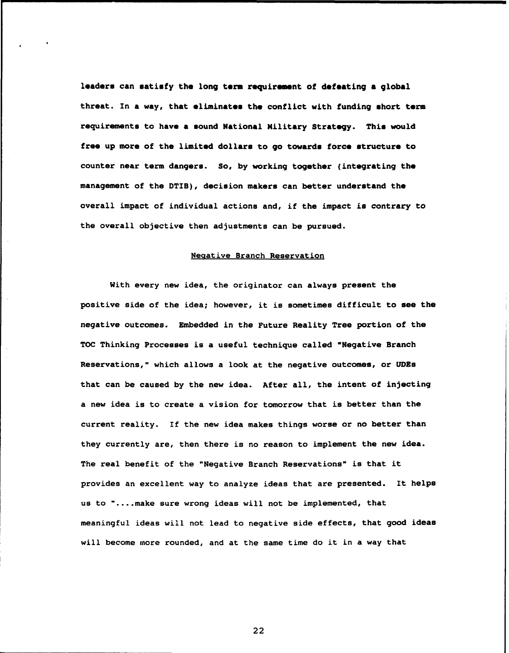**leaders can satisfy the long term requiromont of defeating a global**  threat. In a way, that eliminates the conflict with funding short term **requirements to have a sound National Military Strategy. This would free up more of the limited dollars to go towards force structure to counter near term dangers. So, by working together (integrating the management of the DTIB), decision makers can better understand the overall impact of individual actions and, if the impact is contrary to the overall objective then adjustments can be pursued.** 

## **Neaative Branch Reservation**

**With every new idea, the originator can always present the positive side of the idea; however, it is sometimes difficult to see the negative outcomes. Embedded in the Future Reality Tree portion of the TOC Thinking Processes is a useful technique called "Negative Branch Reservations," which allows a look at the negative outcomes, or UDEs that can be caused by the new idea. After all, the intent of injecting a new idea is to create a vision for tomorrow that is better than the current reality. If the new idea makes things worse or no better than they currently are, then there is no reason to implement the new idea. The real benefit of the "Negative Branch Reservations" is that it provides an excellent way to analyze ideas that are presented. It helps us to "....make sure wrong ideas will not be implemented, that meaningful ideas will not lead to negative side effects, that good ideas will become more rounded, and at the same time do it in a way that**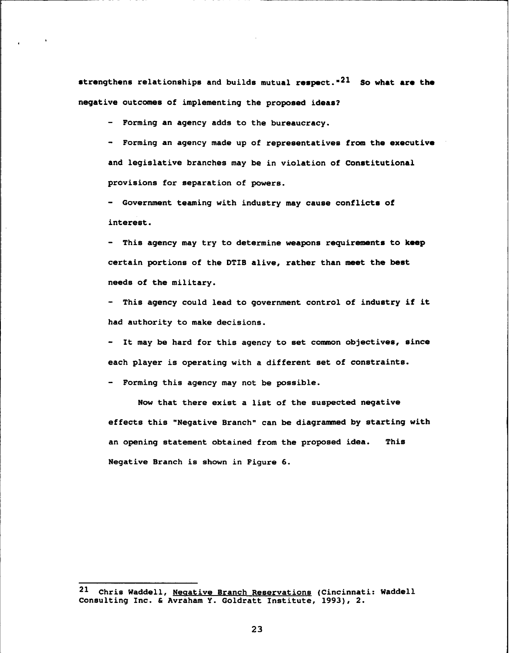strengthens relationships and builds mutual respect."<sup>21</sup> So what are the **negative outcomes of implementing the proposed ideas?** 

- **Forming an agency adds to the bureaucracy.** 

- **Forming an agency made up of representatives from the executive and legislative branches may be in violation of Constitutional provisions for separation of powers.** 

- **Government teaming with industry may cause conflict8 of interest.** 

- **This agency may try to determine weapons requirements to keep certain portions of the DTIB alive, rather than meet the best needs of the military.** 

- **This agency could lead to government control of industry if it had authority to make decisions.** 

- **It may be hard for this agency to set common objectives, since each player is operating with a different set of constraints.** 

- **Forming this agency may not be possible.** 

**Now that there exist a list of the suspected negative effects this "Negative Branch" can be diagrammed by starting with an opening statement obtained from the proposed idea. This Negative Branch is shown in Figure 6.** 

**<sup>21</sup> Chris Waddell, Neaative Branch Reservations (Cincinnati: Waddell Consulting Inc.** & **Avraham Y. Goldratt Institute, 1993), 2.**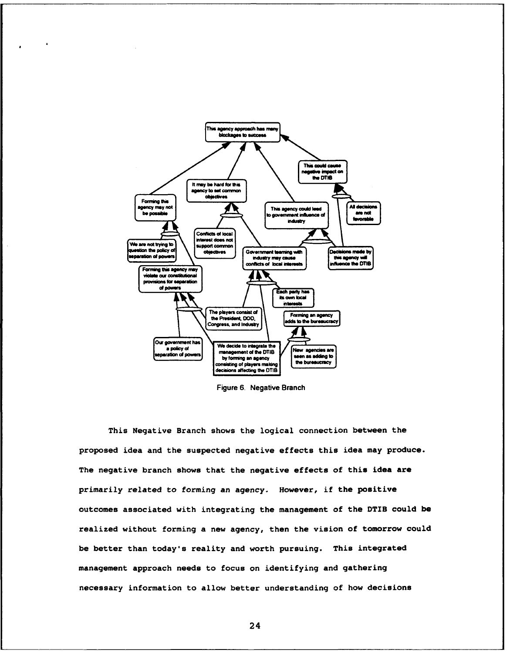

**Figure 6. Negative Branch** 

**This Negative Branch shows the logical connection between the proposed idea and the suspected negative effects this idea may produce. The negative branch shows that the negative effects of this idea are primarily related to forming an agency. However, if the positive outcomes associated with integrating the management of the DTIB could be realized without forming a new agency, then the vision of tomorrow could be better than today's reality and worth pursuing. This integrated management approach needs to focus on identifying and gathering necessary information to allow better understanding of how decisions**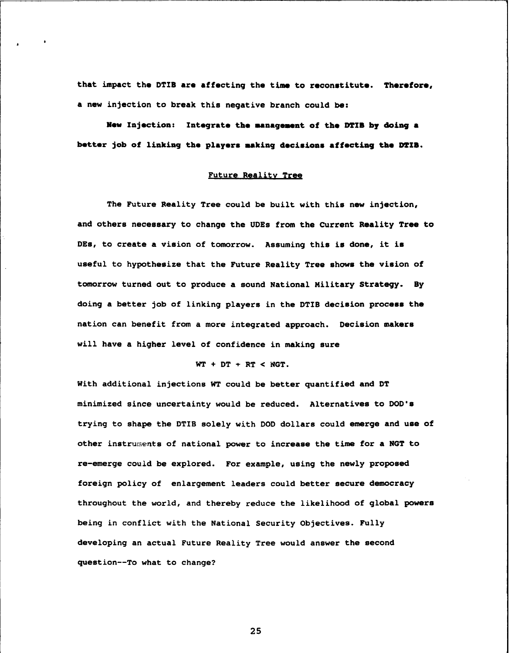that impact the DTIB are affecting the time to reconstitute. Therefore, **a new injection to break this negative branch could be:** 

**New Injection: Integrate the management of the DTIB by doing a** better job of linking the players making decisions affecting the DTIB.

## **Future Reality Tree**

**The Future Reality Tree could be built with this new injection, and others necessary to change the UDEs from the Current Reality Tree to DEs, to create a vision of tomorrow. Assuming this is done, it is useful to hypothesize that the Future Reality Tree shows the vision of tomorrow turned out to produce a sound National Military Strategy. By doing a better job of linking players in the DTIB decision process the nation can benefit from a more integrated approach. Decision makers will have a higher level of confidence in making sure** 

## **WT** + **DT** \* **RT** < **NGT.**

**With additional injections WT could be better quantified and DT minimized since uncertainty would be reduced. Alternatives to DOD's trying to shape the DTIB solely with DOD dollars could emerge and use of**  other instruments of national power to increase the time for a NGT to **re-emerge could be explored. For example, using the newly proposed foreign policy of enlargement leaders could better secure democracy throughout the world, and thereby reduce the likelihood of global powers being in conflict with the National Security Objectives. Fully developing an actual Future Reality Tree would answer the second question--To what to change?**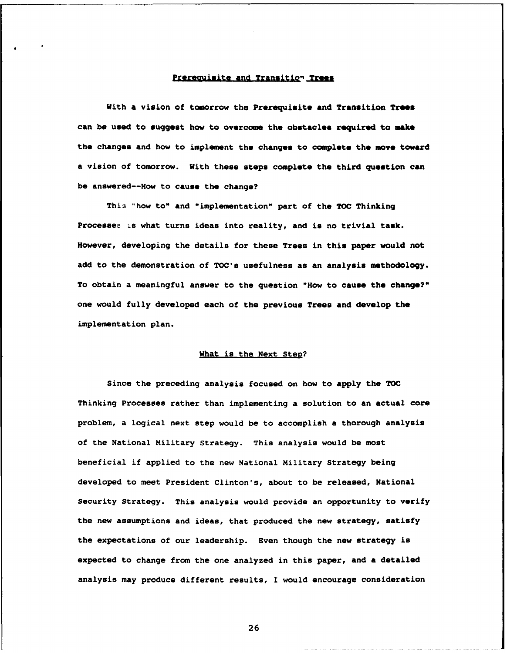# Prerequisite and Transition Trees

**With a vision of tomorrow the Prerequisite and Transition Troas**  can be used to suggest how to overcome the obstacles required to make the changes and how to implement the changes to complete the move toward a vision of tomorrow. With these steps complete the third question can **be answered--How to cause the change?** 

**This "how to" and "implementation" part of the TOC Thinking Processes is what turns ideas into reality, and is no trivial task. However, developing the details for these Trees in this paper would not add to the demonstration of TOC's usefulness as an analyais methodology. To obtain a meaningful answer to the question "How to cause the change?" one would fully developed each of the previous Trees and develop the implementation plan.** 

## **What is the Next Step?**

**Since the preceding analysis focused on how to apply the TOC Thinking Processes rather than implementing a solution to an actual core problem, a logical next step would be to accomplish a thorough analysis of the National Military Strategy. This analysis would be most beneficial if applied to the new National Military Strategy being developed to meet President Clinton's, about to be released, National Security Strategy. This analysis would provide an opportunity to verify the new assumptions and ideas, that produced the new strategy, satisfy the expectations of our leadership. Even though the new strategy is expected to change from the one analyzed in this paper, and a detailed analysis may produce different results, I would encourage consideration**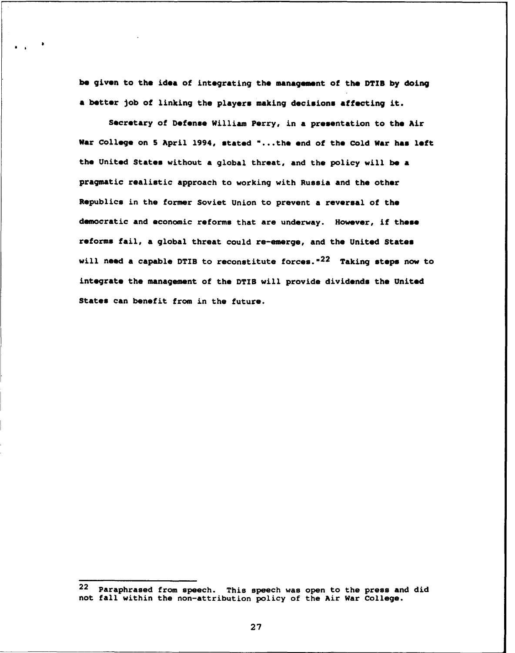be given to the idea of integrating the management of the DTIB by doing a better job of linking the players making decisions affecting it.

Secretary of Defense William Perry, in a presentation to the Air War College on 5 April 1994, stated "...the end of the Cold War has left the United States without a global threat, and the policy will be **a**  pragmatic realistic approach to working with Russia and the other Republics in the former Soviet Union to prevent a reversal of the democratic and economic reforms that are underway. However, if these reforms fail, a global threat could re-emerge, and the United States will need a capable DTIB to reconstitute forces." $^{22}$  Taking steps now to integrate the management of the DTIB will provide dividends the United States can benefit from in the future.

-

**<sup>22</sup>** Paraphrased from speech. This speech was open to the press and did not fall within the non-attribution policy of the Air War College.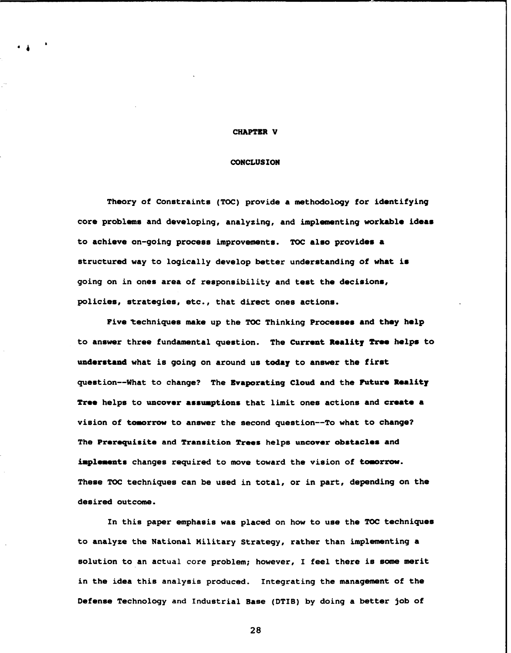#### **CHAPTER V**

## **CONCLUS ION**

**Theory of Constraints (TOC) provide a methodology for identifying**  core problems and developing, analyzing, and implementing workable ideas to achieve on-going process improvements. TOC also provides a **structured way to logically develop better understanding of what im**  going on in ones area of responsibility and test the decisions, **policies, strategies, etc., that direct ones actions.** 

Five techniques make up the TOC Thinking Processes and they help to answer three fundamental question. The Current Reality Tree helps to **understand what is going on around us today to answer the first question--What to change? The Evaporating Cloud and the Futuro Roality Tree helps to uncover assurptions that limit ones actions and croate a**  vision of tomorrow to answer the second question--To what to change? **The Prerequisite and Transition Trees helps uncover obstacles and implements changes required to move toward the vision of tomorrow. These TOC techniques can be used in total, or in part, depending on the desired outcome.** 

**In this paper emphasis was placed on how to use the TOC techniques to analyze the National Military Strategy, rather than implementing a solution to an actual core problem; however, I feel there is some merit in the idea this analysis produced. Integrating the management of the Defense Technology and Industrial Base (DTIB) by doing a better job of**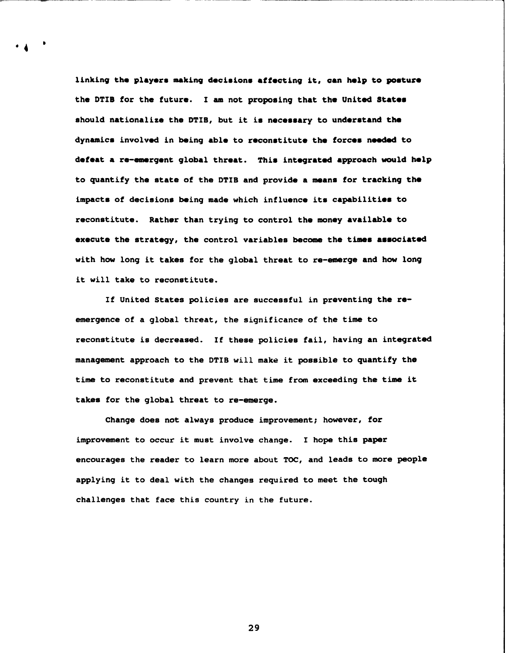linking the players making decisions affecting it, can help to posture **the DTIB for the future. I am not proposing that the United Statem**  should nationalize the DTIB, but it is necessary to understand the **dynamics involved in being able to reconstitute the forcam needed to defeat a re-emergent global threat. This integrated approach would help to quantify the state of the DTIB and provide a means for tracking the**  impacts of decisions being made which influence its capabilities to **reconstitute. Rather than trying to control the money available to**  execute the strategy, the control variables become the times associated **with how long it takes for the global threat to re-emerge and how long it will take to reconstitute.** 

**If United States policies are successful in preventing the reemergence of a global threat, the significance of the time to reconstitute is decreased. If these policies fail, having an integrated management approach to the DTIB will make it possible to quantify the time to reconstitute and prevent that time from exceeding the time it takes for the global threat to re-emerge.** 

**Change does not always produce improvement; however, for improvement to occur it must involve change. I hope this paper encourages the reader to learn more about TOC, and leads to more people applying it to deal with the changes required to meet the tough challenges that face this country in the future.**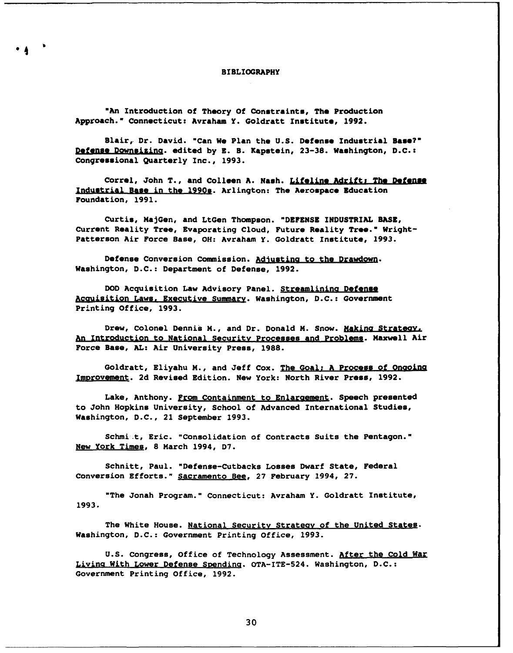#### **BIBLIOGRAPHY**

"An Introduction of Theory Of Constraints, The Production **Approach." Connecticut: Avraham Y. Goldratt Institute, 1992.** 

Blair, Dr. David. "Can We Plan the U.S. Defense Industrial Base?" Defense Downsizing. edited by E. B. Kapstein, 23-38. Washington, D.C.: **Congreesional Quarterly Inc., 1993.** 

Correl, John T., and Colleen A. Nash. Lifeline Adrift; The Defense Industrial Base in the 1990s. Arlington: The Aerospace Education **Foundation, 1991.** 

**Curtis, MajGen, and LtGen Thompson. "DEFENSE INDUSTRIAL BASE, Current Reality Tree, Evaporating Cloud, Future Reality Tree." Wright-Patterson Air Force Base, OH: Avraham Y. Goldratt Institute, 1993.** 

Defense Conversion Commission. Adjusting to the Drawdown. **Washington, D.C.: Department of Defense, 1992.** 

**DOD Acquisition Law Advisory Panel. Streamlinina Deferlpa ficauisition Laws. Executive Summary. Washington, D.C.: Government Printing Office, 1993.** 

Drew, Colonel Dennis M., and Dr. Donald M. Snow. **Making Strategy**. *BD* **Introduction to National Securitv Processes and Probleaq. Maxwell Air Force Base, AL: Air University Press, 1988.** 

**Goldratt, Eliyahu M., and Jeff Cox. The Goal: A Process of**  Improvement. 2d Revised Edition. New York: North River Press, 1992.

Lake, Anthony. From Containment to Enlargement. Speech presented **to John Hopkins University, School of Advanced International Studies, Washington, D.C., 21 September 1993.** 

**Schmi.t, Eric. "Consolidation of Contracts Suits the Pentagon." New York Times, 8 March 1994, D7.** 

**Schnitt, Paul. "Defense-Cutbacks Losses Dwarf State, Federal Conversion Efforts." Sacramento Bee, 27 February 1994, 27.** 

**"The Jonah Program." Connecticut: Avraham Y. Goldratt Inetitute, 1993.** 

**The White House. National Security Strateav of the United States. Washington, D.C.: Government Printing Office, 1993.** 

**U.S. Congress, Office of Technology Assessment. after the Cold War**  Living With Lower Defense Spending. OTA-ITE-524. Washington, D.C.: **Government Printing Office, 1992.**